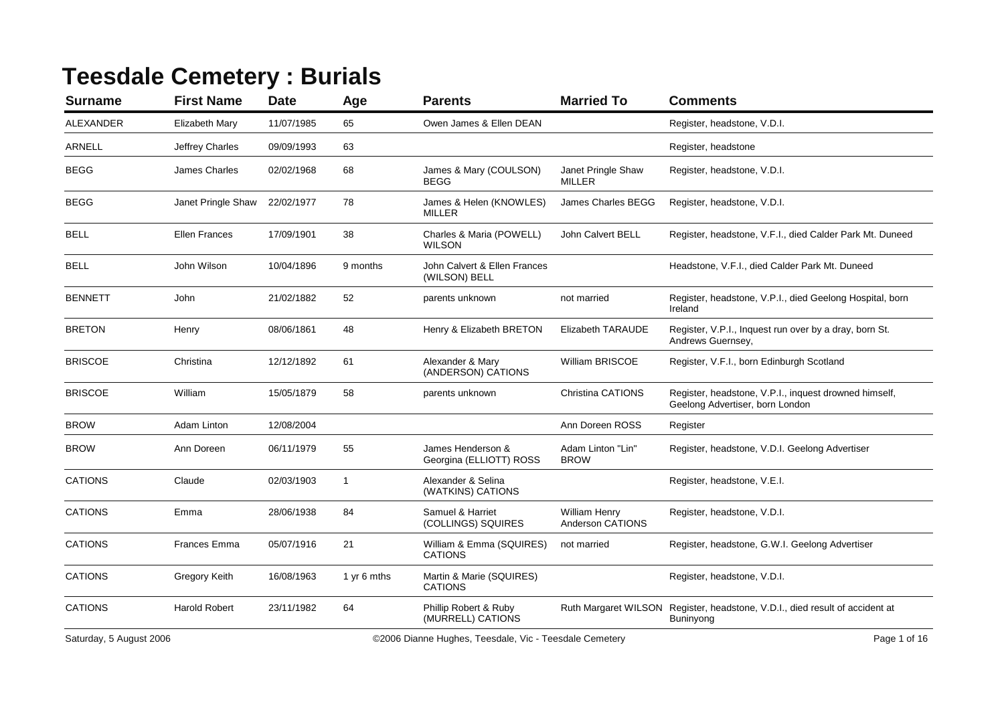## **Teesdale Cemetery : Burials**

| <b>Surname</b> | <b>First Name</b>    | <b>Date</b> | Age            | <b>Parents</b>                                | <b>Married To</b>                   | <b>Comments</b>                                                                           |
|----------------|----------------------|-------------|----------------|-----------------------------------------------|-------------------------------------|-------------------------------------------------------------------------------------------|
| ALEXANDER      | Elizabeth Mary       | 11/07/1985  | 65             | Owen James & Ellen DEAN                       |                                     | Register, headstone, V.D.I.                                                               |
| <b>ARNELL</b>  | Jeffrey Charles      | 09/09/1993  | 63             |                                               |                                     | Register, headstone                                                                       |
| <b>BEGG</b>    | James Charles        | 02/02/1968  | 68             | James & Mary (COULSON)<br><b>BEGG</b>         | Janet Pringle Shaw<br><b>MILLER</b> | Register, headstone, V.D.I.                                                               |
| <b>BEGG</b>    | Janet Pringle Shaw   | 22/02/1977  | 78             | James & Helen (KNOWLES)<br><b>MILLER</b>      | James Charles BEGG                  | Register, headstone, V.D.I.                                                               |
| BELL           | <b>Ellen Frances</b> | 17/09/1901  | 38             | Charles & Maria (POWELL)<br><b>WILSON</b>     | John Calvert BELL                   | Register, headstone, V.F.I., died Calder Park Mt. Duneed                                  |
| BELL           | John Wilson          | 10/04/1896  | 9 months       | John Calvert & Ellen Frances<br>(WILSON) BELL |                                     | Headstone, V.F.I., died Calder Park Mt. Duneed                                            |
| <b>BENNETT</b> | John                 | 21/02/1882  | 52             | parents unknown                               | not married                         | Register, headstone, V.P.I., died Geelong Hospital, born<br>Ireland                       |
| <b>BRETON</b>  | Henry                | 08/06/1861  | 48             | Henry & Elizabeth BRETON                      | <b>Elizabeth TARAUDE</b>            | Register, V.P.I., Inquest run over by a dray, born St.<br>Andrews Guernsey,               |
| <b>BRISCOE</b> | Christina            | 12/12/1892  | 61             | Alexander & Mary<br>(ANDERSON) CATIONS        | William BRISCOE                     | Register, V.F.I., born Edinburgh Scotland                                                 |
| <b>BRISCOE</b> | William              | 15/05/1879  | 58             | parents unknown                               | Christina CATIONS                   | Register, headstone, V.P.I., inquest drowned himself,<br>Geelong Advertiser, born London  |
| <b>BROW</b>    | Adam Linton          | 12/08/2004  |                |                                               | Ann Doreen ROSS                     | Register                                                                                  |
| <b>BROW</b>    | Ann Doreen           | 06/11/1979  | 55             | James Henderson &<br>Georgina (ELLIOTT) ROSS  | Adam Linton "Lin"<br><b>BROW</b>    | Register, headstone, V.D.I. Geelong Advertiser                                            |
| <b>CATIONS</b> | Claude               | 02/03/1903  | $\overline{1}$ | Alexander & Selina<br>(WATKINS) CATIONS       |                                     | Register, headstone, V.E.I.                                                               |
| <b>CATIONS</b> | Emma                 | 28/06/1938  | 84             | Samuel & Harriet<br>(COLLINGS) SQUIRES        | William Henry<br>Anderson CATIONS   | Register, headstone, V.D.I.                                                               |
| <b>CATIONS</b> | <b>Frances Emma</b>  | 05/07/1916  | 21             | William & Emma (SQUIRES)<br><b>CATIONS</b>    | not married                         | Register, headstone, G.W.I. Geelong Advertiser                                            |
| <b>CATIONS</b> | Gregory Keith        | 16/08/1963  | 1 yr 6 mths    | Martin & Marie (SQUIRES)<br><b>CATIONS</b>    |                                     | Register, headstone, V.D.I.                                                               |
| <b>CATIONS</b> | <b>Harold Robert</b> | 23/11/1982  | 64             | Phillip Robert & Ruby<br>(MURRELL) CATIONS    |                                     | Ruth Margaret WILSON Register, headstone, V.D.I., died result of accident at<br>Buninyong |
|                |                      |             |                |                                               |                                     |                                                                                           |

Saturday, 5 August 2006 **Cannical Contract Contract Contract Contract Contract Contract Contract Contract Contract Contract Contract Contract Contract Contract Contract Contract Contract Contract Contract Contract Contract**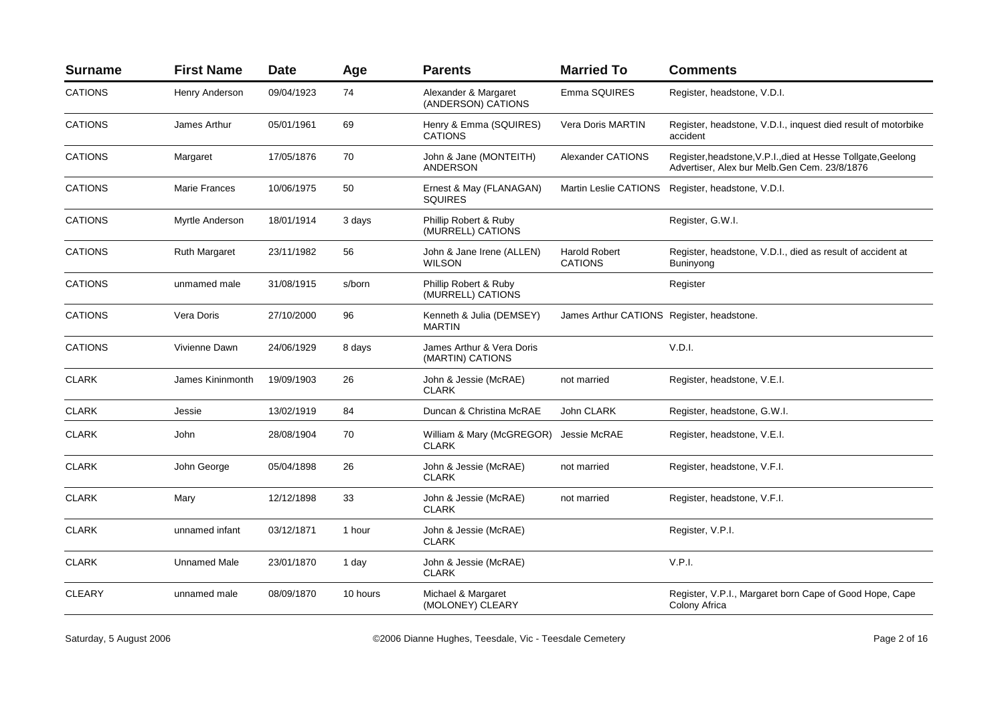| <b>Surname</b> | <b>First Name</b>    | <b>Date</b> | Age      | <b>Parents</b>                                | <b>Married To</b>                         | <b>Comments</b>                                                                                               |
|----------------|----------------------|-------------|----------|-----------------------------------------------|-------------------------------------------|---------------------------------------------------------------------------------------------------------------|
| <b>CATIONS</b> | Henry Anderson       | 09/04/1923  | 74       | Alexander & Margaret<br>(ANDERSON) CATIONS    | Emma SQUIRES                              | Register, headstone, V.D.I.                                                                                   |
| <b>CATIONS</b> | James Arthur         | 05/01/1961  | 69       | Henry & Emma (SQUIRES)<br><b>CATIONS</b>      | Vera Doris MARTIN                         | Register, headstone, V.D.I., inquest died result of motorbike<br>accident                                     |
| <b>CATIONS</b> | Margaret             | 17/05/1876  | 70       | John & Jane (MONTEITH)<br><b>ANDERSON</b>     | <b>Alexander CATIONS</b>                  | Register, headstone, V.P.I., died at Hesse Tollgate, Geelong<br>Advertiser, Alex bur Melb. Gen Cem. 23/8/1876 |
| <b>CATIONS</b> | <b>Marie Frances</b> | 10/06/1975  | 50       | Ernest & May (FLANAGAN)<br><b>SQUIRES</b>     |                                           | Martin Leslie CATIONS Register, headstone, V.D.I.                                                             |
| <b>CATIONS</b> | Myrtle Anderson      | 18/01/1914  | 3 days   | Phillip Robert & Ruby<br>(MURRELL) CATIONS    |                                           | Register, G.W.I.                                                                                              |
| <b>CATIONS</b> | <b>Ruth Margaret</b> | 23/11/1982  | 56       | John & Jane Irene (ALLEN)<br><b>WILSON</b>    | <b>Harold Robert</b><br><b>CATIONS</b>    | Register, headstone, V.D.I., died as result of accident at<br>Buninyong                                       |
| <b>CATIONS</b> | unmamed male         | 31/08/1915  | s/born   | Phillip Robert & Ruby<br>(MURRELL) CATIONS    |                                           | Register                                                                                                      |
| <b>CATIONS</b> | Vera Doris           | 27/10/2000  | 96       | Kenneth & Julia (DEMSEY)<br><b>MARTIN</b>     | James Arthur CATIONS Register, headstone. |                                                                                                               |
| <b>CATIONS</b> | Vivienne Dawn        | 24/06/1929  | 8 days   | James Arthur & Vera Doris<br>(MARTIN) CATIONS |                                           | V.D.I.                                                                                                        |
| <b>CLARK</b>   | James Kininmonth     | 19/09/1903  | 26       | John & Jessie (McRAE)<br><b>CLARK</b>         | not married                               | Register, headstone, V.E.I.                                                                                   |
| <b>CLARK</b>   | Jessie               | 13/02/1919  | 84       | Duncan & Christina McRAE                      | John CLARK                                | Register, headstone, G.W.I.                                                                                   |
| <b>CLARK</b>   | John                 | 28/08/1904  | 70       | William & Mary (McGREGOR)<br><b>CLARK</b>     | Jessie McRAE                              | Register, headstone, V.E.I.                                                                                   |
| <b>CLARK</b>   | John George          | 05/04/1898  | 26       | John & Jessie (McRAE)<br><b>CLARK</b>         | not married                               | Register, headstone, V.F.I.                                                                                   |
| <b>CLARK</b>   | Mary                 | 12/12/1898  | 33       | John & Jessie (McRAE)<br><b>CLARK</b>         | not married                               | Register, headstone, V.F.I.                                                                                   |
| <b>CLARK</b>   | unnamed infant       | 03/12/1871  | 1 hour   | John & Jessie (McRAE)<br><b>CLARK</b>         |                                           | Register, V.P.I.                                                                                              |
| <b>CLARK</b>   | Unnamed Male         | 23/01/1870  | 1 day    | John & Jessie (McRAE)<br><b>CLARK</b>         |                                           | V.P.I.                                                                                                        |
| <b>CLEARY</b>  | unnamed male         | 08/09/1870  | 10 hours | Michael & Margaret<br>(MOLONEY) CLEARY        |                                           | Register, V.P.I., Margaret born Cape of Good Hope, Cape<br>Colony Africa                                      |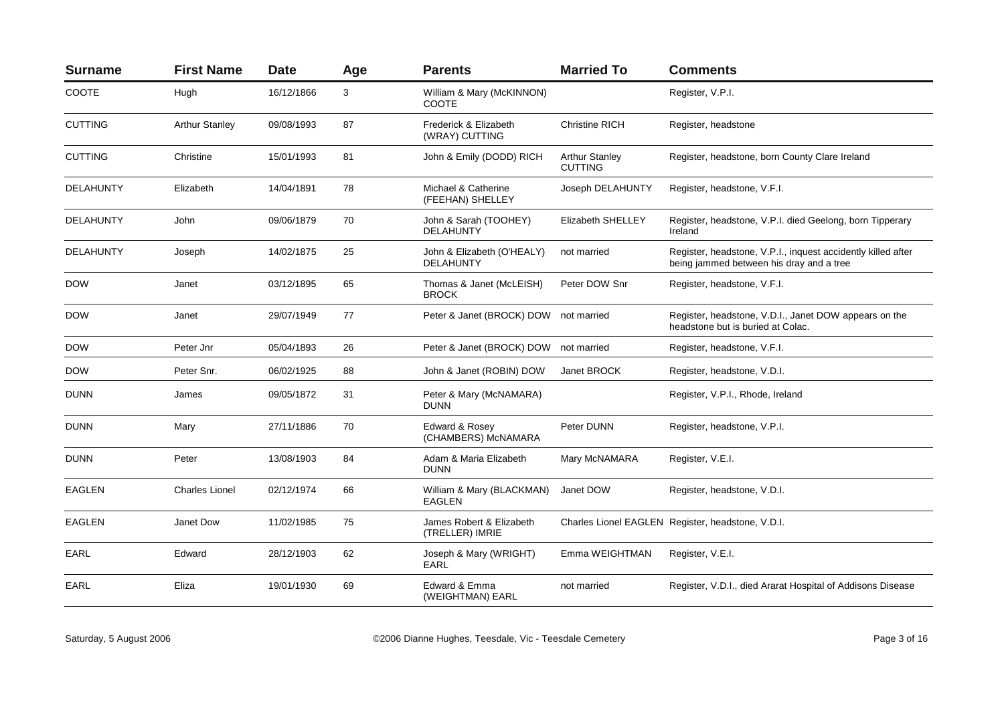| <b>Surname</b>   | <b>First Name</b>     | <b>Date</b> | Age | <b>Parents</b>                                 | <b>Married To</b>                       | <b>Comments</b>                                                                                          |
|------------------|-----------------------|-------------|-----|------------------------------------------------|-----------------------------------------|----------------------------------------------------------------------------------------------------------|
| <b>COOTE</b>     | Hugh                  | 16/12/1866  | 3   | William & Mary (McKINNON)<br>COOTE             |                                         | Register, V.P.I.                                                                                         |
| <b>CUTTING</b>   | <b>Arthur Stanley</b> | 09/08/1993  | 87  | Frederick & Elizabeth<br>(WRAY) CUTTING        | <b>Christine RICH</b>                   | Register, headstone                                                                                      |
| <b>CUTTING</b>   | Christine             | 15/01/1993  | 81  | John & Emily (DODD) RICH                       | <b>Arthur Stanley</b><br><b>CUTTING</b> | Register, headstone, born County Clare Ireland                                                           |
| <b>DELAHUNTY</b> | Elizabeth             | 14/04/1891  | 78  | Michael & Catherine<br>(FEEHAN) SHELLEY        | Joseph DELAHUNTY                        | Register, headstone, V.F.I.                                                                              |
| <b>DELAHUNTY</b> | John                  | 09/06/1879  | 70  | John & Sarah (TOOHEY)<br>DELAHUNTY             | <b>Elizabeth SHELLEY</b>                | Register, headstone, V.P.I. died Geelong, born Tipperary<br>Ireland                                      |
| DELAHUNTY        | Joseph                | 14/02/1875  | 25  | John & Elizabeth (O'HEALY)<br><b>DELAHUNTY</b> | not married                             | Register, headstone, V.P.I., inquest accidently killed after<br>being jammed between his dray and a tree |
| <b>DOW</b>       | Janet                 | 03/12/1895  | 65  | Thomas & Janet (McLEISH)<br><b>BROCK</b>       | Peter DOW Snr                           | Register, headstone, V.F.I.                                                                              |
| <b>DOW</b>       | Janet                 | 29/07/1949  | 77  | Peter & Janet (BROCK) DOW                      | not married                             | Register, headstone, V.D.I., Janet DOW appears on the<br>headstone but is buried at Colac.               |
| <b>DOW</b>       | Peter Jnr             | 05/04/1893  | 26  | Peter & Janet (BROCK) DOW                      | not married                             | Register, headstone, V.F.I.                                                                              |
| <b>DOW</b>       | Peter Snr.            | 06/02/1925  | 88  | John & Janet (ROBIN) DOW                       | Janet BROCK                             | Register, headstone, V.D.I.                                                                              |
| <b>DUNN</b>      | James                 | 09/05/1872  | 31  | Peter & Mary (McNAMARA)<br><b>DUNN</b>         |                                         | Register, V.P.I., Rhode, Ireland                                                                         |
| <b>DUNN</b>      | Mary                  | 27/11/1886  | 70  | Edward & Rosey<br>(CHAMBERS) McNAMARA          | Peter DUNN                              | Register, headstone, V.P.I.                                                                              |
| <b>DUNN</b>      | Peter                 | 13/08/1903  | 84  | Adam & Maria Elizabeth<br><b>DUNN</b>          | Mary McNAMARA                           | Register, V.E.I.                                                                                         |
| <b>EAGLEN</b>    | <b>Charles Lionel</b> | 02/12/1974  | 66  | William & Mary (BLACKMAN)<br><b>EAGLEN</b>     | Janet DOW                               | Register, headstone, V.D.I.                                                                              |
| <b>EAGLEN</b>    | Janet Dow             | 11/02/1985  | 75  | James Robert & Elizabeth<br>(TRELLER) IMRIE    |                                         | Charles Lionel EAGLEN Register, headstone, V.D.I.                                                        |
| EARL             | Edward                | 28/12/1903  | 62  | Joseph & Mary (WRIGHT)<br><b>EARL</b>          | Emma WEIGHTMAN                          | Register, V.E.I.                                                                                         |
| EARL             | Eliza                 | 19/01/1930  | 69  | Edward & Emma<br>(WEIGHTMAN) EARL              | not married                             | Register, V.D.I., died Ararat Hospital of Addisons Disease                                               |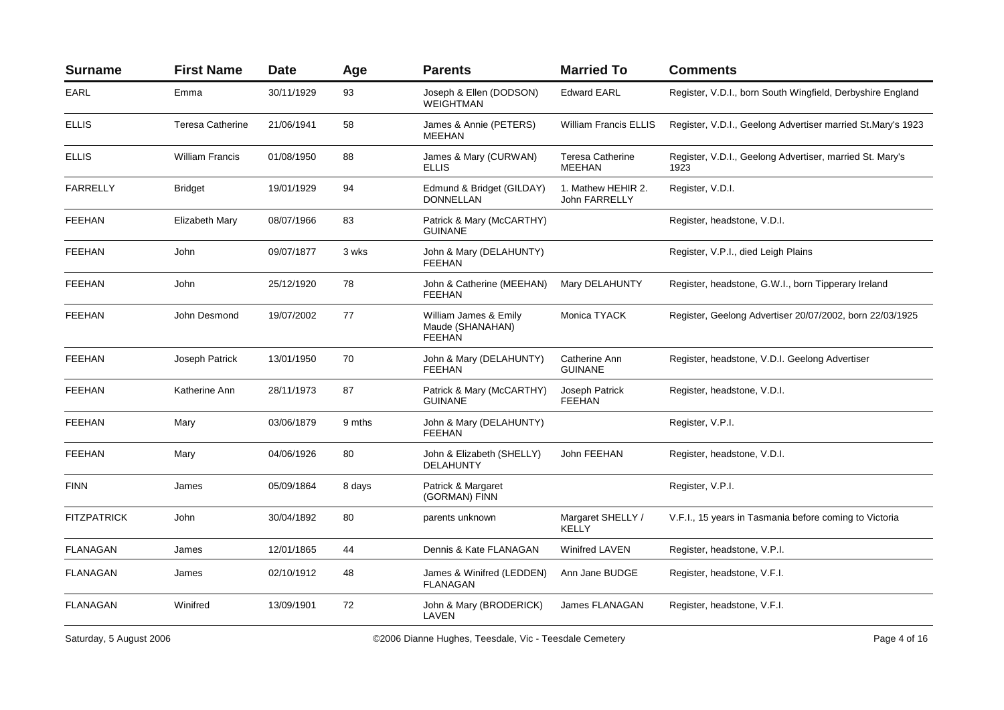| <b>Surname</b>     | <b>First Name</b>       | <b>Date</b> | Age    | <b>Parents</b>                                             | <b>Married To</b>                          | <b>Comments</b>                                                  |
|--------------------|-------------------------|-------------|--------|------------------------------------------------------------|--------------------------------------------|------------------------------------------------------------------|
| EARL               | Emma                    | 30/11/1929  | 93     | Joseph & Ellen (DODSON)<br><b>WEIGHTMAN</b>                | <b>Edward EARL</b>                         | Register, V.D.I., born South Wingfield, Derbyshire England       |
| <b>ELLIS</b>       | <b>Teresa Catherine</b> | 21/06/1941  | 58     | James & Annie (PETERS)<br><b>MEEHAN</b>                    | William Francis ELLIS                      | Register, V.D.I., Geelong Advertiser married St.Mary's 1923      |
| <b>ELLIS</b>       | <b>William Francis</b>  | 01/08/1950  | 88     | James & Mary (CURWAN)<br><b>ELLIS</b>                      | <b>Teresa Catherine</b><br><b>MEEHAN</b>   | Register, V.D.I., Geelong Advertiser, married St. Mary's<br>1923 |
| <b>FARRELLY</b>    | <b>Bridget</b>          | 19/01/1929  | 94     | Edmund & Bridget (GILDAY)<br>DONNELLAN                     | 1. Mathew HEHIR 2.<br><b>John FARRELLY</b> | Register, V.D.I.                                                 |
| <b>FEEHAN</b>      | Elizabeth Mary          | 08/07/1966  | 83     | Patrick & Mary (McCARTHY)<br><b>GUINANE</b>                |                                            | Register, headstone, V.D.I.                                      |
| <b>FEEHAN</b>      | John                    | 09/07/1877  | 3 wks  | John & Mary (DELAHUNTY)<br><b>FEEHAN</b>                   |                                            | Register, V.P.I., died Leigh Plains                              |
| <b>FEEHAN</b>      | John                    | 25/12/1920  | 78     | John & Catherine (MEEHAN)<br><b>FEEHAN</b>                 | Mary DELAHUNTY                             | Register, headstone, G.W.I., born Tipperary Ireland              |
| <b>FEEHAN</b>      | John Desmond            | 19/07/2002  | 77     | William James & Emily<br>Maude (SHANAHAN)<br><b>FEEHAN</b> | Monica TYACK                               | Register, Geelong Advertiser 20/07/2002, born 22/03/1925         |
| <b>FEEHAN</b>      | Joseph Patrick          | 13/01/1950  | 70     | John & Mary (DELAHUNTY)<br><b>FEEHAN</b>                   | Catherine Ann<br><b>GUINANE</b>            | Register, headstone, V.D.I. Geelong Advertiser                   |
| <b>FEEHAN</b>      | Katherine Ann           | 28/11/1973  | 87     | Patrick & Mary (McCARTHY)<br><b>GUINANE</b>                | Joseph Patrick<br><b>FEEHAN</b>            | Register, headstone, V.D.I.                                      |
| <b>FEEHAN</b>      | Mary                    | 03/06/1879  | 9 mths | John & Mary (DELAHUNTY)<br><b>FEEHAN</b>                   |                                            | Register, V.P.I.                                                 |
| <b>FEEHAN</b>      | Mary                    | 04/06/1926  | 80     | John & Elizabeth (SHELLY)<br>DELAHUNTY                     | John FEEHAN                                | Register, headstone, V.D.I.                                      |
| <b>FINN</b>        | James                   | 05/09/1864  | 8 days | Patrick & Margaret<br>(GORMAN) FINN                        |                                            | Register, V.P.I.                                                 |
| <b>FITZPATRICK</b> | John                    | 30/04/1892  | 80     | parents unknown                                            | Margaret SHELLY /<br>KELLY                 | V.F.I., 15 years in Tasmania before coming to Victoria           |
| <b>FLANAGAN</b>    | James                   | 12/01/1865  | 44     | Dennis & Kate FLANAGAN                                     | <b>Winifred LAVEN</b>                      | Register, headstone, V.P.I.                                      |
| <b>FLANAGAN</b>    | James                   | 02/10/1912  | 48     | James & Winifred (LEDDEN)<br><b>FLANAGAN</b>               | Ann Jane BUDGE                             | Register, headstone, V.F.I.                                      |
| <b>FLANAGAN</b>    | Winifred                | 13/09/1901  | 72     | John & Mary (BRODERICK)<br>LAVEN                           | <b>James FLANAGAN</b>                      | Register, headstone, V.F.I.                                      |

Saturday, 5 August 2006 **Cannica Contract Contract Contract Contract Contract Contract Contract Contract Contract Contract Contract Contract Contract Contract Contract Contract Contract Contract Contract Contract Contract**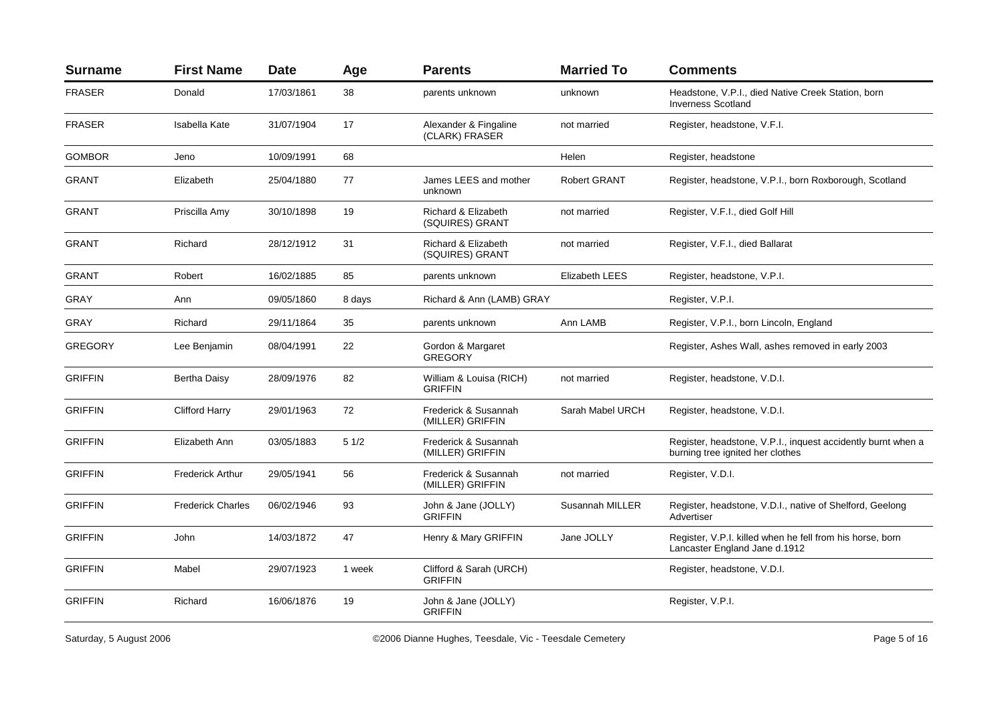| <b>Surname</b> | <b>First Name</b>        | <b>Date</b> | Age    | <b>Parents</b>                            | <b>Married To</b>   | <b>Comments</b>                                                                                  |
|----------------|--------------------------|-------------|--------|-------------------------------------------|---------------------|--------------------------------------------------------------------------------------------------|
| <b>FRASER</b>  | Donald                   | 17/03/1861  | 38     | parents unknown                           | unknown             | Headstone, V.P.I., died Native Creek Station, born<br><b>Inverness Scotland</b>                  |
| <b>FRASER</b>  | Isabella Kate            | 31/07/1904  | 17     | Alexander & Fingaline<br>(CLARK) FRASER   | not married         | Register, headstone, V.F.I.                                                                      |
| <b>GOMBOR</b>  | Jeno                     | 10/09/1991  | 68     |                                           | Helen               | Register, headstone                                                                              |
| <b>GRANT</b>   | Elizabeth                | 25/04/1880  | 77     | James LEES and mother<br>unknown          | <b>Robert GRANT</b> | Register, headstone, V.P.I., born Roxborough, Scotland                                           |
| <b>GRANT</b>   | Priscilla Amy            | 30/10/1898  | 19     | Richard & Elizabeth<br>(SQUIRES) GRANT    | not married         | Register, V.F.I., died Golf Hill                                                                 |
| <b>GRANT</b>   | Richard                  | 28/12/1912  | 31     | Richard & Elizabeth<br>(SQUIRES) GRANT    | not married         | Register, V.F.I., died Ballarat                                                                  |
| <b>GRANT</b>   | Robert                   | 16/02/1885  | 85     | parents unknown                           | Elizabeth LEES      | Register, headstone, V.P.I.                                                                      |
| GRAY           | Ann                      | 09/05/1860  | 8 days | Richard & Ann (LAMB) GRAY                 |                     | Register, V.P.I.                                                                                 |
| <b>GRAY</b>    | Richard                  | 29/11/1864  | 35     | parents unknown                           | Ann LAMB            | Register, V.P.I., born Lincoln, England                                                          |
| <b>GREGORY</b> | Lee Benjamin             | 08/04/1991  | 22     | Gordon & Margaret<br><b>GREGORY</b>       |                     | Register, Ashes Wall, ashes removed in early 2003                                                |
| <b>GRIFFIN</b> | <b>Bertha Daisy</b>      | 28/09/1976  | 82     | William & Louisa (RICH)<br><b>GRIFFIN</b> | not married         | Register, headstone, V.D.I.                                                                      |
| <b>GRIFFIN</b> | <b>Clifford Harry</b>    | 29/01/1963  | 72     | Frederick & Susannah<br>(MILLER) GRIFFIN  | Sarah Mabel URCH    | Register, headstone, V.D.I.                                                                      |
| <b>GRIFFIN</b> | Elizabeth Ann            | 03/05/1883  | 51/2   | Frederick & Susannah<br>(MILLER) GRIFFIN  |                     | Register, headstone, V.P.I., inquest accidently burnt when a<br>burning tree ignited her clothes |
| <b>GRIFFIN</b> | <b>Frederick Arthur</b>  | 29/05/1941  | 56     | Frederick & Susannah<br>(MILLER) GRIFFIN  | not married         | Register, V.D.I.                                                                                 |
| <b>GRIFFIN</b> | <b>Frederick Charles</b> | 06/02/1946  | 93     | John & Jane (JOLLY)<br><b>GRIFFIN</b>     | Susannah MILLER     | Register, headstone, V.D.I., native of Shelford, Geelong<br>Advertiser                           |
| <b>GRIFFIN</b> | John                     | 14/03/1872  | 47     | Henry & Mary GRIFFIN                      | Jane JOLLY          | Register, V.P.I. killed when he fell from his horse, born<br>Lancaster England Jane d.1912       |
| <b>GRIFFIN</b> | Mabel                    | 29/07/1923  | 1 week | Clifford & Sarah (URCH)<br><b>GRIFFIN</b> |                     | Register, headstone, V.D.I.                                                                      |
| <b>GRIFFIN</b> | Richard                  | 16/06/1876  | 19     | John & Jane (JOLLY)<br><b>GRIFFIN</b>     |                     | Register, V.P.I.                                                                                 |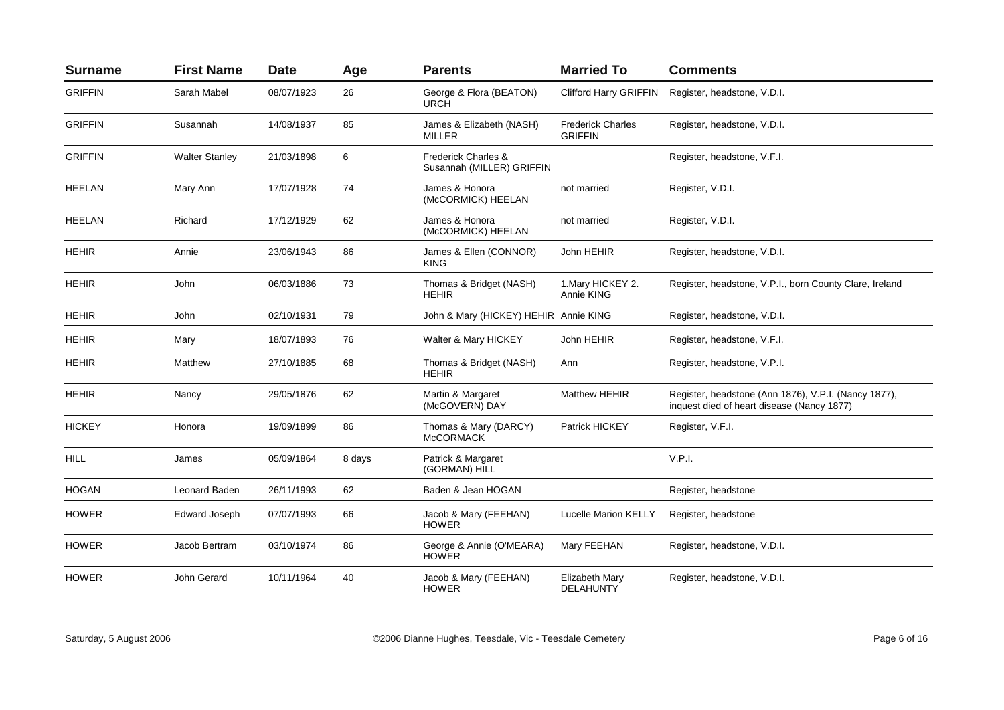| <b>Surname</b> | <b>First Name</b>     | <b>Date</b> | Age    | <b>Parents</b>                                              | <b>Married To</b>                          | <b>Comments</b>                                                                                    |
|----------------|-----------------------|-------------|--------|-------------------------------------------------------------|--------------------------------------------|----------------------------------------------------------------------------------------------------|
| <b>GRIFFIN</b> | Sarah Mabel           | 08/07/1923  | 26     | George & Flora (BEATON)<br><b>URCH</b>                      | <b>Clifford Harry GRIFFIN</b>              | Register, headstone, V.D.I.                                                                        |
| <b>GRIFFIN</b> | Susannah              | 14/08/1937  | 85     | James & Elizabeth (NASH)<br><b>MILLER</b>                   | <b>Frederick Charles</b><br><b>GRIFFIN</b> | Register, headstone, V.D.I.                                                                        |
| <b>GRIFFIN</b> | <b>Walter Stanley</b> | 21/03/1898  | 6      | <b>Frederick Charles &amp;</b><br>Susannah (MILLER) GRIFFIN |                                            | Register, headstone, V.F.I.                                                                        |
| <b>HEELAN</b>  | Mary Ann              | 17/07/1928  | 74     | James & Honora<br>(McCORMICK) HEELAN                        | not married                                | Register, V.D.I.                                                                                   |
| <b>HEELAN</b>  | Richard               | 17/12/1929  | 62     | James & Honora<br>(McCORMICK) HEELAN                        | not married                                | Register, V.D.I.                                                                                   |
| <b>HEHIR</b>   | Annie                 | 23/06/1943  | 86     | James & Ellen (CONNOR)<br><b>KING</b>                       | John HEHIR                                 | Register, headstone, V.D.I.                                                                        |
| <b>HEHIR</b>   | John                  | 06/03/1886  | 73     | Thomas & Bridget (NASH)<br><b>HEHIR</b>                     | 1. Mary HICKEY 2.<br>Annie KING            | Register, headstone, V.P.I., born County Clare, Ireland                                            |
| HEHIR          | John                  | 02/10/1931  | 79     | John & Mary (HICKEY) HEHIR Annie KING                       |                                            | Register, headstone, V.D.I.                                                                        |
| <b>HEHIR</b>   | Mary                  | 18/07/1893  | 76     | Walter & Mary HICKEY                                        | John HEHIR                                 | Register, headstone, V.F.I.                                                                        |
| <b>HEHIR</b>   | Matthew               | 27/10/1885  | 68     | Thomas & Bridget (NASH)<br><b>HEHIR</b>                     | Ann                                        | Register, headstone, V.P.I.                                                                        |
| <b>HEHIR</b>   | Nancy                 | 29/05/1876  | 62     | Martin & Margaret<br>(McGOVERN) DAY                         | <b>Matthew HEHIR</b>                       | Register, headstone (Ann 1876), V.P.I. (Nancy 1877),<br>inquest died of heart disease (Nancy 1877) |
| <b>HICKEY</b>  | Honora                | 19/09/1899  | 86     | Thomas & Mary (DARCY)<br><b>McCORMACK</b>                   | Patrick HICKEY                             | Register, V.F.I.                                                                                   |
| HILL           | James                 | 05/09/1864  | 8 days | Patrick & Margaret<br>(GORMAN) HILL                         |                                            | V.P.I.                                                                                             |
| <b>HOGAN</b>   | Leonard Baden         | 26/11/1993  | 62     | Baden & Jean HOGAN                                          |                                            | Register, headstone                                                                                |
| <b>HOWER</b>   | <b>Edward Joseph</b>  | 07/07/1993  | 66     | Jacob & Mary (FEEHAN)<br><b>HOWER</b>                       | <b>Lucelle Marion KELLY</b>                | Register, headstone                                                                                |
| <b>HOWER</b>   | Jacob Bertram         | 03/10/1974  | 86     | George & Annie (O'MEARA)<br><b>HOWER</b>                    | Mary FEEHAN                                | Register, headstone, V.D.I.                                                                        |
| <b>HOWER</b>   | John Gerard           | 10/11/1964  | 40     | Jacob & Mary (FEEHAN)<br><b>HOWER</b>                       | Elizabeth Mary<br><b>DELAHUNTY</b>         | Register, headstone, V.D.I.                                                                        |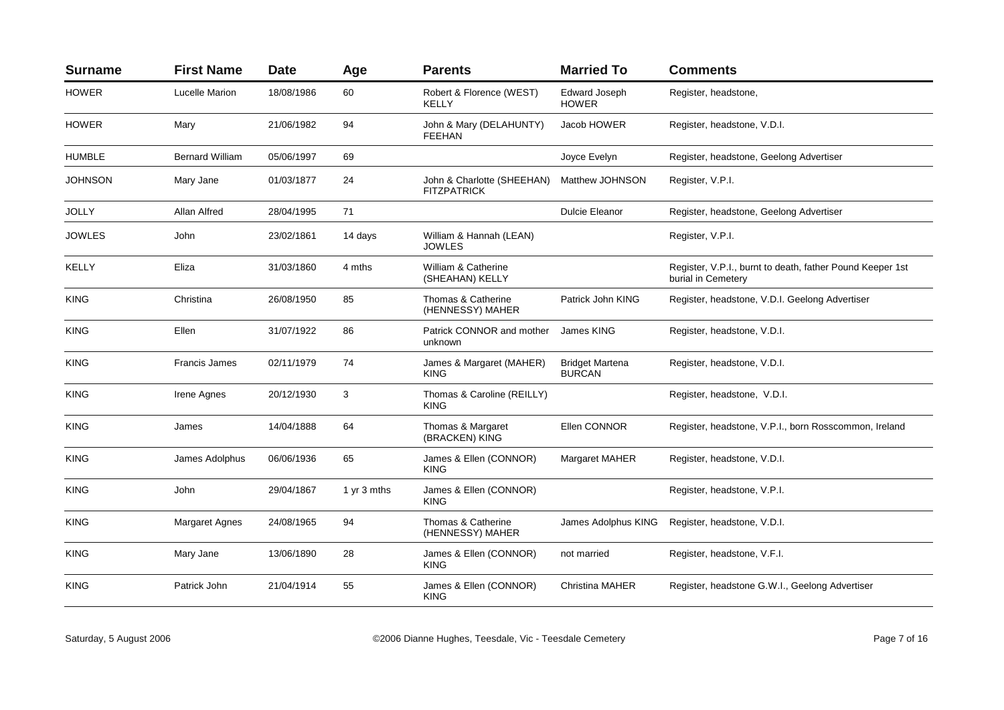| <b>Surname</b> | <b>First Name</b>      | <b>Date</b> | Age         | <b>Parents</b>                                   | <b>Married To</b>                       | <b>Comments</b>                                                                 |
|----------------|------------------------|-------------|-------------|--------------------------------------------------|-----------------------------------------|---------------------------------------------------------------------------------|
| <b>HOWER</b>   | <b>Lucelle Marion</b>  | 18/08/1986  | 60          | Robert & Florence (WEST)<br><b>KELLY</b>         | Edward Joseph<br><b>HOWER</b>           | Register, headstone,                                                            |
| <b>HOWER</b>   | Mary                   | 21/06/1982  | 94          | John & Mary (DELAHUNTY)<br><b>FEEHAN</b>         | Jacob HOWER                             | Register, headstone, V.D.I.                                                     |
| <b>HUMBLE</b>  | <b>Bernard William</b> | 05/06/1997  | 69          |                                                  | Joyce Evelyn                            | Register, headstone, Geelong Advertiser                                         |
| JOHNSON        | Mary Jane              | 01/03/1877  | 24          | John & Charlotte (SHEEHAN)<br><b>FITZPATRICK</b> | Matthew JOHNSON                         | Register, V.P.I.                                                                |
| <b>JOLLY</b>   | Allan Alfred           | 28/04/1995  | 71          |                                                  | <b>Dulcie Eleanor</b>                   | Register, headstone, Geelong Advertiser                                         |
| <b>JOWLES</b>  | John                   | 23/02/1861  | 14 days     | William & Hannah (LEAN)<br><b>JOWLES</b>         |                                         | Register, V.P.I.                                                                |
| KELLY          | Eliza                  | 31/03/1860  | 4 mths      | William & Catherine<br>(SHEAHAN) KELLY           |                                         | Register, V.P.I., burnt to death, father Pound Keeper 1st<br>burial in Cemetery |
| <b>KING</b>    | Christina              | 26/08/1950  | 85          | Thomas & Catherine<br>(HENNESSY) MAHER           | Patrick John KING                       | Register, headstone, V.D.I. Geelong Advertiser                                  |
| <b>KING</b>    | Ellen                  | 31/07/1922  | 86          | Patrick CONNOR and mother<br>unknown             | James KING                              | Register, headstone, V.D.I.                                                     |
| <b>KING</b>    | <b>Francis James</b>   | 02/11/1979  | 74          | James & Margaret (MAHER)<br><b>KING</b>          | <b>Bridget Martena</b><br><b>BURCAN</b> | Register, headstone, V.D.I.                                                     |
| <b>KING</b>    | Irene Agnes            | 20/12/1930  | 3           | Thomas & Caroline (REILLY)<br><b>KING</b>        |                                         | Register, headstone, V.D.I.                                                     |
| <b>KING</b>    | James                  | 14/04/1888  | 64          | Thomas & Margaret<br>(BRACKEN) KING              | Ellen CONNOR                            | Register, headstone, V.P.I., born Rosscommon, Ireland                           |
| <b>KING</b>    | James Adolphus         | 06/06/1936  | 65          | James & Ellen (CONNOR)<br><b>KING</b>            | <b>Margaret MAHER</b>                   | Register, headstone, V.D.I.                                                     |
| <b>KING</b>    | John                   | 29/04/1867  | 1 yr 3 mths | James & Ellen (CONNOR)<br><b>KING</b>            |                                         | Register, headstone, V.P.I.                                                     |
| <b>KING</b>    | <b>Margaret Agnes</b>  | 24/08/1965  | 94          | Thomas & Catherine<br>(HENNESSY) MAHER           | James Adolphus KING                     | Register, headstone, V.D.I.                                                     |
| <b>KING</b>    | Mary Jane              | 13/06/1890  | 28          | James & Ellen (CONNOR)<br><b>KING</b>            | not married                             | Register, headstone, V.F.I.                                                     |
| <b>KING</b>    | Patrick John           | 21/04/1914  | 55          | James & Ellen (CONNOR)<br><b>KING</b>            | <b>Christina MAHER</b>                  | Register, headstone G.W.I., Geelong Advertiser                                  |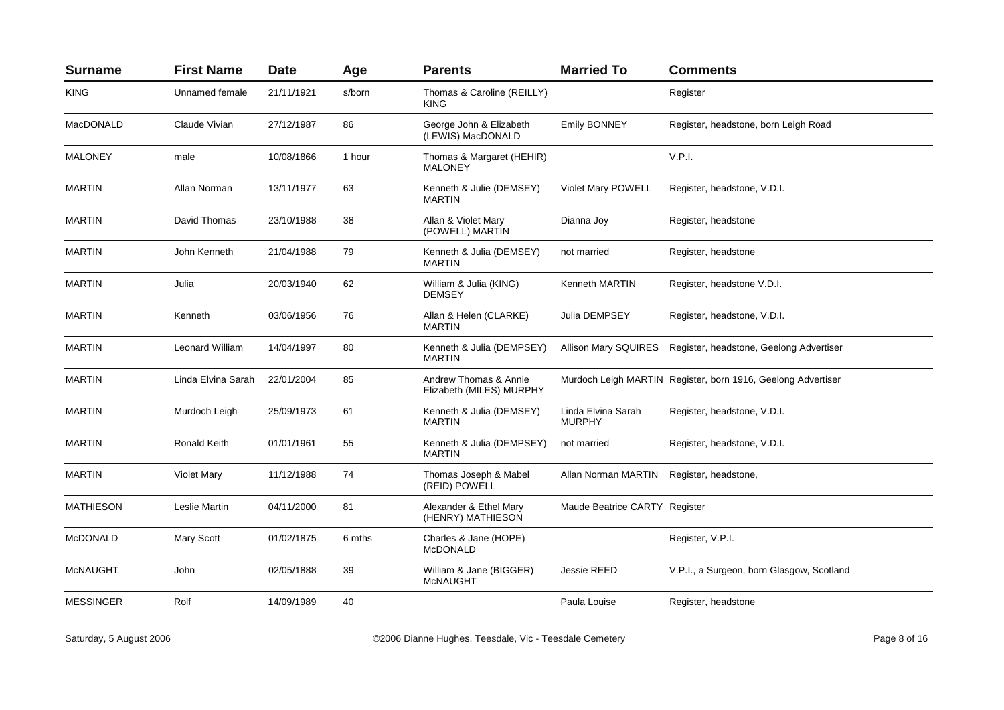| <b>Surname</b>   | <b>First Name</b>  | <b>Date</b> | Age    | <b>Parents</b>                                    | <b>Married To</b>                   | <b>Comments</b>                                              |
|------------------|--------------------|-------------|--------|---------------------------------------------------|-------------------------------------|--------------------------------------------------------------|
| <b>KING</b>      | Unnamed female     | 21/11/1921  | s/born | Thomas & Caroline (REILLY)<br><b>KING</b>         |                                     | Register                                                     |
| <b>MacDONALD</b> | Claude Vivian      | 27/12/1987  | 86     | George John & Elizabeth<br>(LEWIS) MacDONALD      | <b>Emily BONNEY</b>                 | Register, headstone, born Leigh Road                         |
| <b>MALONEY</b>   | male               | 10/08/1866  | 1 hour | Thomas & Margaret (HEHIR)<br><b>MALONEY</b>       |                                     | V.P.I.                                                       |
| <b>MARTIN</b>    | Allan Norman       | 13/11/1977  | 63     | Kenneth & Julie (DEMSEY)<br><b>MARTIN</b>         | <b>Violet Mary POWELL</b>           | Register, headstone, V.D.I.                                  |
| <b>MARTIN</b>    | David Thomas       | 23/10/1988  | 38     | Allan & Violet Mary<br>(POWELL) MARTIN            | Dianna Joy                          | Register, headstone                                          |
| <b>MARTIN</b>    | John Kenneth       | 21/04/1988  | 79     | Kenneth & Julia (DEMSEY)<br><b>MARTIN</b>         | not married                         | Register, headstone                                          |
| <b>MARTIN</b>    | Julia              | 20/03/1940  | 62     | William & Julia (KING)<br><b>DEMSEY</b>           | Kenneth MARTIN                      | Register, headstone V.D.I.                                   |
| <b>MARTIN</b>    | Kenneth            | 03/06/1956  | 76     | Allan & Helen (CLARKE)<br><b>MARTIN</b>           | Julia DEMPSEY                       | Register, headstone, V.D.I.                                  |
| <b>MARTIN</b>    | Leonard William    | 14/04/1997  | 80     | Kenneth & Julia (DEMPSEY)<br><b>MARTIN</b>        |                                     | Allison Mary SQUIRES Register, headstone, Geelong Advertiser |
| <b>MARTIN</b>    | Linda Elvina Sarah | 22/01/2004  | 85     | Andrew Thomas & Annie<br>Elizabeth (MILES) MURPHY |                                     | Murdoch Leigh MARTIN Register, born 1916, Geelong Advertiser |
| <b>MARTIN</b>    | Murdoch Leigh      | 25/09/1973  | 61     | Kenneth & Julia (DEMSEY)<br><b>MARTIN</b>         | Linda Elvina Sarah<br><b>MURPHY</b> | Register, headstone, V.D.I.                                  |
| <b>MARTIN</b>    | Ronald Keith       | 01/01/1961  | 55     | Kenneth & Julia (DEMPSEY)<br><b>MARTIN</b>        | not married                         | Register, headstone, V.D.I.                                  |
| <b>MARTIN</b>    | <b>Violet Mary</b> | 11/12/1988  | 74     | Thomas Joseph & Mabel<br>(REID) POWELL            | Allan Norman MARTIN                 | Register, headstone,                                         |
| <b>MATHIESON</b> | Leslie Martin      | 04/11/2000  | 81     | Alexander & Ethel Mary<br>(HENRY) MATHIESON       | Maude Beatrice CARTY Register       |                                                              |
| <b>McDONALD</b>  | Mary Scott         | 01/02/1875  | 6 mths | Charles & Jane (HOPE)<br><b>McDONALD</b>          |                                     | Register, V.P.I.                                             |
| <b>McNAUGHT</b>  | John               | 02/05/1888  | 39     | William & Jane (BIGGER)<br><b>McNAUGHT</b>        | Jessie REED                         | V.P.I., a Surgeon, born Glasgow, Scotland                    |
| <b>MESSINGER</b> | Rolf               | 14/09/1989  | 40     |                                                   | Paula Louise                        | Register, headstone                                          |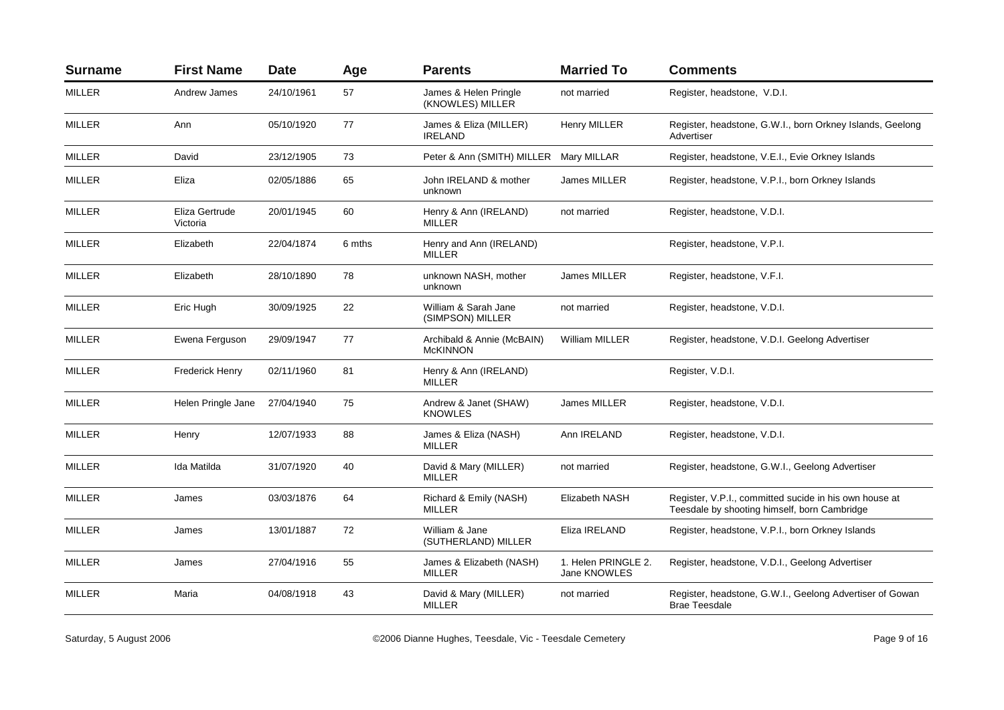| <b>First Name</b>          | <b>Date</b> | Age    | <b>Parents</b>                                | <b>Married To</b>                   | <b>Comments</b>                                                                                        |
|----------------------------|-------------|--------|-----------------------------------------------|-------------------------------------|--------------------------------------------------------------------------------------------------------|
| Andrew James               | 24/10/1961  | 57     | James & Helen Pringle<br>(KNOWLES) MILLER     | not married                         | Register, headstone, V.D.I.                                                                            |
| Ann                        | 05/10/1920  | 77     | James & Eliza (MILLER)<br><b>IRELAND</b>      | <b>Henry MILLER</b>                 | Register, headstone, G.W.I., born Orkney Islands, Geelong<br>Advertiser                                |
| David                      | 23/12/1905  | 73     |                                               |                                     | Register, headstone, V.E.I., Evie Orkney Islands                                                       |
| Eliza                      | 02/05/1886  | 65     | John IRELAND & mother<br>unknown              | James MILLER                        | Register, headstone, V.P.I., born Orkney Islands                                                       |
| Eliza Gertrude<br>Victoria | 20/01/1945  | 60     | Henry & Ann (IRELAND)<br><b>MILLER</b>        | not married                         | Register, headstone, V.D.I.                                                                            |
| Elizabeth                  | 22/04/1874  | 6 mths | Henry and Ann (IRELAND)<br><b>MILLER</b>      |                                     | Register, headstone, V.P.I.                                                                            |
| Elizabeth                  | 28/10/1890  | 78     | unknown NASH, mother<br>unknown               | James MILLER                        | Register, headstone, V.F.I.                                                                            |
| Eric Hugh                  | 30/09/1925  | 22     | William & Sarah Jane<br>(SIMPSON) MILLER      | not married                         | Register, headstone, V.D.I.                                                                            |
| Ewena Ferguson             | 29/09/1947  | 77     | Archibald & Annie (McBAIN)<br><b>McKINNON</b> | <b>William MILLER</b>               | Register, headstone, V.D.I. Geelong Advertiser                                                         |
| Frederick Henry            | 02/11/1960  | 81     | Henry & Ann (IRELAND)<br>MILLER               |                                     | Register, V.D.I.                                                                                       |
| Helen Pringle Jane         | 27/04/1940  | 75     | Andrew & Janet (SHAW)<br><b>KNOWLES</b>       | James MILLER                        | Register, headstone, V.D.I.                                                                            |
| Henry                      | 12/07/1933  | 88     | James & Eliza (NASH)<br><b>MILLER</b>         | Ann IRELAND                         | Register, headstone, V.D.I.                                                                            |
| Ida Matilda                | 31/07/1920  | 40     | David & Mary (MILLER)<br><b>MILLER</b>        | not married                         | Register, headstone, G.W.I., Geelong Advertiser                                                        |
| James                      | 03/03/1876  | 64     | Richard & Emily (NASH)<br><b>MILLER</b>       | <b>Elizabeth NASH</b>               | Register, V.P.I., committed sucide in his own house at<br>Teesdale by shooting himself, born Cambridge |
| James                      | 13/01/1887  | 72     | William & Jane<br>(SUTHERLAND) MILLER         | Eliza IRELAND                       | Register, headstone, V.P.I., born Orkney Islands                                                       |
| James                      | 27/04/1916  | 55     | James & Elizabeth (NASH)<br>MILLER            | 1. Helen PRINGLE 2.<br>Jane KNOWLES | Register, headstone, V.D.I., Geelong Advertiser                                                        |
| Maria                      | 04/08/1918  | 43     | David & Mary (MILLER)<br><b>MILLER</b>        | not married                         | Register, headstone, G.W.I., Geelong Advertiser of Gowan<br><b>Brae Teesdale</b>                       |
|                            |             |        |                                               |                                     | Peter & Ann (SMITH) MILLER Mary MILLAR                                                                 |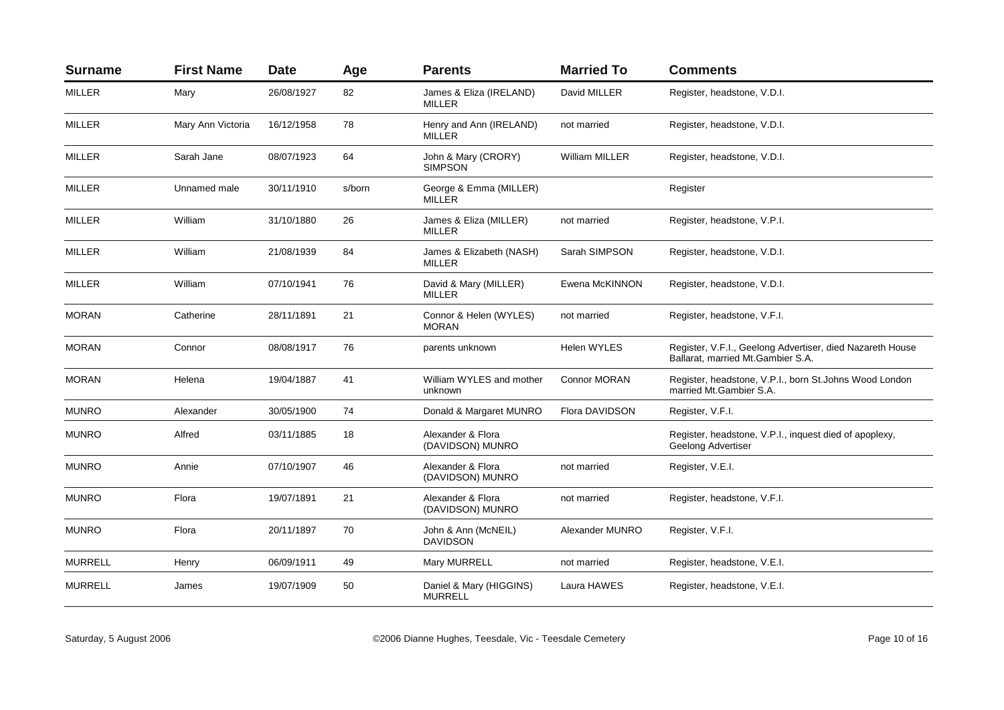| <b>Surname</b> | <b>First Name</b> | <b>Date</b> | Age    | <b>Parents</b>                            | <b>Married To</b>   | <b>Comments</b>                                                                                 |
|----------------|-------------------|-------------|--------|-------------------------------------------|---------------------|-------------------------------------------------------------------------------------------------|
| <b>MILLER</b>  | Mary              | 26/08/1927  | 82     | James & Eliza (IRELAND)<br><b>MILLER</b>  | David MILLER        | Register, headstone, V.D.I.                                                                     |
| MILLER         | Mary Ann Victoria | 16/12/1958  | 78     | Henry and Ann (IRELAND)<br><b>MILLER</b>  | not married         | Register, headstone, V.D.I.                                                                     |
| <b>MILLER</b>  | Sarah Jane        | 08/07/1923  | 64     | John & Mary (CRORY)<br><b>SIMPSON</b>     | William MILLER      | Register, headstone, V.D.I.                                                                     |
| <b>MILLER</b>  | Unnamed male      | 30/11/1910  | s/born | George & Emma (MILLER)<br><b>MILLER</b>   |                     | Register                                                                                        |
| <b>MILLER</b>  | William           | 31/10/1880  | 26     | James & Eliza (MILLER)<br><b>MILLER</b>   | not married         | Register, headstone, V.P.I.                                                                     |
| <b>MILLER</b>  | William           | 21/08/1939  | 84     | James & Elizabeth (NASH)<br><b>MILLER</b> | Sarah SIMPSON       | Register, headstone, V.D.I.                                                                     |
| <b>MILLER</b>  | William           | 07/10/1941  | 76     | David & Mary (MILLER)<br><b>MILLER</b>    | Ewena McKINNON      | Register, headstone, V.D.I.                                                                     |
| <b>MORAN</b>   | Catherine         | 28/11/1891  | 21     | Connor & Helen (WYLES)<br><b>MORAN</b>    | not married         | Register, headstone, V.F.I.                                                                     |
| <b>MORAN</b>   | Connor            | 08/08/1917  | 76     | parents unknown                           | <b>Helen WYLES</b>  | Register, V.F.I., Geelong Advertiser, died Nazareth House<br>Ballarat, married Mt. Gambier S.A. |
| <b>MORAN</b>   | Helena            | 19/04/1887  | 41     | William WYLES and mother<br>unknown       | <b>Connor MORAN</b> | Register, headstone, V.P.I., born St.Johns Wood London<br>married Mt.Gambier S.A.               |
| <b>MUNRO</b>   | Alexander         | 30/05/1900  | 74     | Donald & Margaret MUNRO                   | Flora DAVIDSON      | Register, V.F.I.                                                                                |
| <b>MUNRO</b>   | Alfred            | 03/11/1885  | 18     | Alexander & Flora<br>(DAVIDSON) MUNRO     |                     | Register, headstone, V.P.I., inquest died of apoplexy,<br><b>Geelong Advertiser</b>             |
| <b>MUNRO</b>   | Annie             | 07/10/1907  | 46     | Alexander & Flora<br>(DAVIDSON) MUNRO     | not married         | Register, V.E.I.                                                                                |
| <b>MUNRO</b>   | Flora             | 19/07/1891  | 21     | Alexander & Flora<br>(DAVIDSON) MUNRO     | not married         | Register, headstone, V.F.I.                                                                     |
| <b>MUNRO</b>   | Flora             | 20/11/1897  | 70     | John & Ann (McNEIL)<br><b>DAVIDSON</b>    | Alexander MUNRO     | Register, V.F.I.                                                                                |
| <b>MURRELL</b> | Henry             | 06/09/1911  | 49     | Mary MURRELL                              | not married         | Register, headstone, V.E.I.                                                                     |
| <b>MURRELL</b> | James             | 19/07/1909  | 50     | Daniel & Mary (HIGGINS)<br><b>MURRELL</b> | Laura HAWES         | Register, headstone, V.E.I.                                                                     |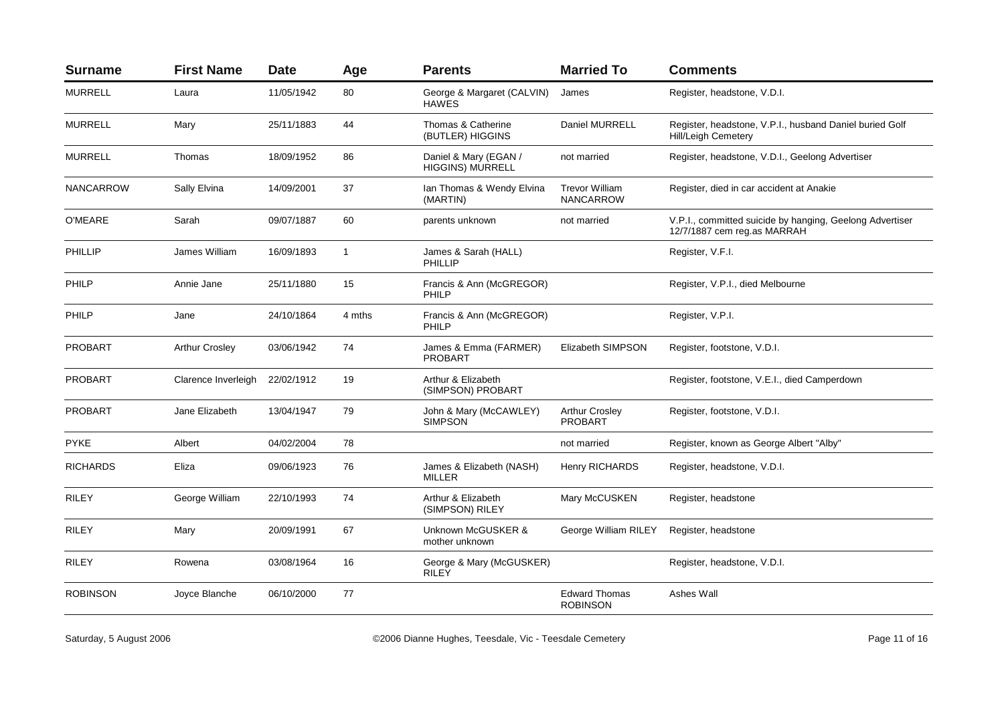| <b>Surname</b>   | <b>First Name</b>     | <b>Date</b> | Age          | <b>Parents</b>                                   | <b>Married To</b>                         | <b>Comments</b>                                                                         |
|------------------|-----------------------|-------------|--------------|--------------------------------------------------|-------------------------------------------|-----------------------------------------------------------------------------------------|
| <b>MURRELL</b>   | Laura                 | 11/05/1942  | 80           | George & Margaret (CALVIN)<br><b>HAWES</b>       | James                                     | Register, headstone, V.D.I.                                                             |
| <b>MURRELL</b>   | Mary                  | 25/11/1883  | 44           | Thomas & Catherine<br>(BUTLER) HIGGINS           | Daniel MURRELL                            | Register, headstone, V.P.I., husband Daniel buried Golf<br><b>Hill/Leigh Cemetery</b>   |
| <b>MURRELL</b>   | Thomas                | 18/09/1952  | 86           | Daniel & Mary (EGAN /<br><b>HIGGINS) MURRELL</b> | not married                               | Register, headstone, V.D.I., Geelong Advertiser                                         |
| <b>NANCARROW</b> | Sally Elvina          | 14/09/2001  | 37           | Ian Thomas & Wendy Elvina<br>(MARTIN)            | <b>Trevor William</b><br><b>NANCARROW</b> | Register, died in car accident at Anakie                                                |
| O'MEARE          | Sarah                 | 09/07/1887  | 60           | parents unknown                                  | not married                               | V.P.I., committed suicide by hanging, Geelong Advertiser<br>12/7/1887 cem reg.as MARRAH |
| PHILLIP          | James William         | 16/09/1893  | $\mathbf{1}$ | James & Sarah (HALL)<br>PHILLIP                  |                                           | Register, V.F.I.                                                                        |
| PHILP            | Annie Jane            | 25/11/1880  | 15           | Francis & Ann (McGREGOR)<br>PHILP                |                                           | Register, V.P.I., died Melbourne                                                        |
| PHILP            | Jane                  | 24/10/1864  | 4 mths       | Francis & Ann (McGREGOR)<br>PHILP                |                                           | Register, V.P.I.                                                                        |
| <b>PROBART</b>   | <b>Arthur Crosley</b> | 03/06/1942  | 74           | James & Emma (FARMER)<br><b>PROBART</b>          | Elizabeth SIMPSON                         | Register, footstone, V.D.I.                                                             |
| <b>PROBART</b>   | Clarence Inverleigh   | 22/02/1912  | 19           | Arthur & Elizabeth<br>(SIMPSON) PROBART          |                                           | Register, footstone, V.E.I., died Camperdown                                            |
| PROBART          | Jane Elizabeth        | 13/04/1947  | 79           | John & Mary (McCAWLEY)<br><b>SIMPSON</b>         | <b>Arthur Crosley</b><br><b>PROBART</b>   | Register, footstone, V.D.I.                                                             |
| <b>PYKE</b>      | Albert                | 04/02/2004  | 78           |                                                  | not married                               | Register, known as George Albert "Alby"                                                 |
| <b>RICHARDS</b>  | Eliza                 | 09/06/1923  | 76           | James & Elizabeth (NASH)<br><b>MILLER</b>        | Henry RICHARDS                            | Register, headstone, V.D.I.                                                             |
| <b>RILEY</b>     | George William        | 22/10/1993  | 74           | Arthur & Elizabeth<br>(SIMPSON) RILEY            | Mary McCUSKEN                             | Register, headstone                                                                     |
| <b>RILEY</b>     | Mary                  | 20/09/1991  | 67           | Unknown McGUSKER &<br>mother unknown             | George William RILEY                      | Register, headstone                                                                     |
| <b>RILEY</b>     | Rowena                | 03/08/1964  | 16           | George & Mary (McGUSKER)<br><b>RILEY</b>         |                                           | Register, headstone, V.D.I.                                                             |
| <b>ROBINSON</b>  | Joyce Blanche         | 06/10/2000  | 77           |                                                  | <b>Edward Thomas</b><br><b>ROBINSON</b>   | Ashes Wall                                                                              |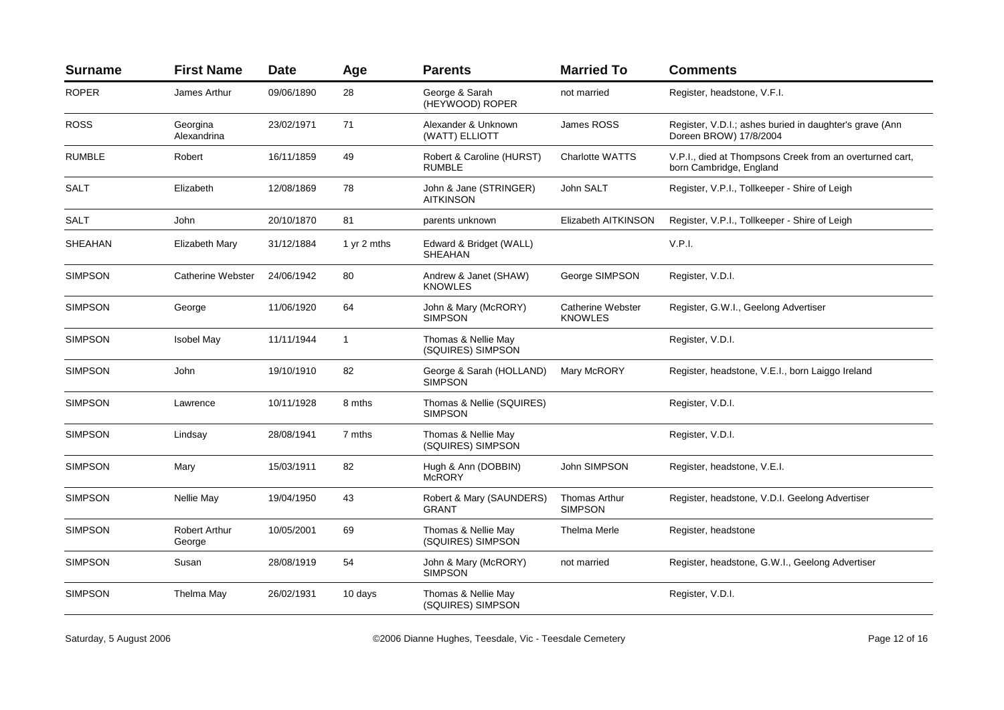| <b>Surname</b> | <b>First Name</b>              | <b>Date</b> | Age         | <b>Parents</b>                              | <b>Married To</b>                      | <b>Comments</b>                                                                     |
|----------------|--------------------------------|-------------|-------------|---------------------------------------------|----------------------------------------|-------------------------------------------------------------------------------------|
| <b>ROPER</b>   | James Arthur                   | 09/06/1890  | 28          | George & Sarah<br>(HEYWOOD) ROPER           | not married                            | Register, headstone, V.F.I.                                                         |
| <b>ROSS</b>    | Georgina<br>Alexandrina        | 23/02/1971  | 71          | Alexander & Unknown<br>(WATT) ELLIOTT       | James ROSS                             | Register, V.D.I.; ashes buried in daughter's grave (Ann<br>Doreen BROW) 17/8/2004   |
| <b>RUMBLE</b>  | Robert                         | 16/11/1859  | 49          | Robert & Caroline (HURST)<br><b>RUMBLE</b>  | <b>Charlotte WATTS</b>                 | V.P.I., died at Thompsons Creek from an overturned cart,<br>born Cambridge, England |
| <b>SALT</b>    | Elizabeth                      | 12/08/1869  | 78          | John & Jane (STRINGER)<br><b>AITKINSON</b>  | John SALT                              | Register, V.P.I., Tollkeeper - Shire of Leigh                                       |
| SALT           | John                           | 20/10/1870  | 81          | parents unknown                             | Elizabeth AITKINSON                    | Register, V.P.I., Tollkeeper - Shire of Leigh                                       |
| <b>SHEAHAN</b> | Elizabeth Mary                 | 31/12/1884  | 1 yr 2 mths | Edward & Bridget (WALL)<br><b>SHEAHAN</b>   |                                        | V.P.I.                                                                              |
| <b>SIMPSON</b> | Catherine Webster              | 24/06/1942  | 80          | Andrew & Janet (SHAW)<br><b>KNOWLES</b>     | George SIMPSON                         | Register, V.D.I.                                                                    |
| <b>SIMPSON</b> | George                         | 11/06/1920  | 64          | John & Mary (McRORY)<br><b>SIMPSON</b>      | Catherine Webster<br><b>KNOWLES</b>    | Register, G.W.I., Geelong Advertiser                                                |
| <b>SIMPSON</b> | <b>Isobel May</b>              | 11/11/1944  | 1           | Thomas & Nellie May<br>(SQUIRES) SIMPSON    |                                        | Register, V.D.I.                                                                    |
| <b>SIMPSON</b> | John                           | 19/10/1910  | 82          | George & Sarah (HOLLAND)<br><b>SIMPSON</b>  | Mary McRORY                            | Register, headstone, V.E.I., born Laiggo Ireland                                    |
| <b>SIMPSON</b> | Lawrence                       | 10/11/1928  | 8 mths      | Thomas & Nellie (SQUIRES)<br><b>SIMPSON</b> |                                        | Register, V.D.I.                                                                    |
| <b>SIMPSON</b> | Lindsay                        | 28/08/1941  | 7 mths      | Thomas & Nellie May<br>(SQUIRES) SIMPSON    |                                        | Register, V.D.I.                                                                    |
| <b>SIMPSON</b> | Mary                           | 15/03/1911  | 82          | Hugh & Ann (DOBBIN)<br><b>McRORY</b>        | John SIMPSON                           | Register, headstone, V.E.I.                                                         |
| <b>SIMPSON</b> | Nellie May                     | 19/04/1950  | 43          | Robert & Mary (SAUNDERS)<br><b>GRANT</b>    | <b>Thomas Arthur</b><br><b>SIMPSON</b> | Register, headstone, V.D.I. Geelong Advertiser                                      |
| <b>SIMPSON</b> | <b>Robert Arthur</b><br>George | 10/05/2001  | 69          | Thomas & Nellie May<br>(SQUIRES) SIMPSON    | Thelma Merle                           | Register, headstone                                                                 |
| <b>SIMPSON</b> | Susan                          | 28/08/1919  | 54          | John & Mary (McRORY)<br><b>SIMPSON</b>      | not married                            | Register, headstone, G.W.I., Geelong Advertiser                                     |
| <b>SIMPSON</b> | Thelma May                     | 26/02/1931  | 10 days     | Thomas & Nellie May<br>(SQUIRES) SIMPSON    |                                        | Register, V.D.I.                                                                    |
|                |                                |             |             |                                             |                                        |                                                                                     |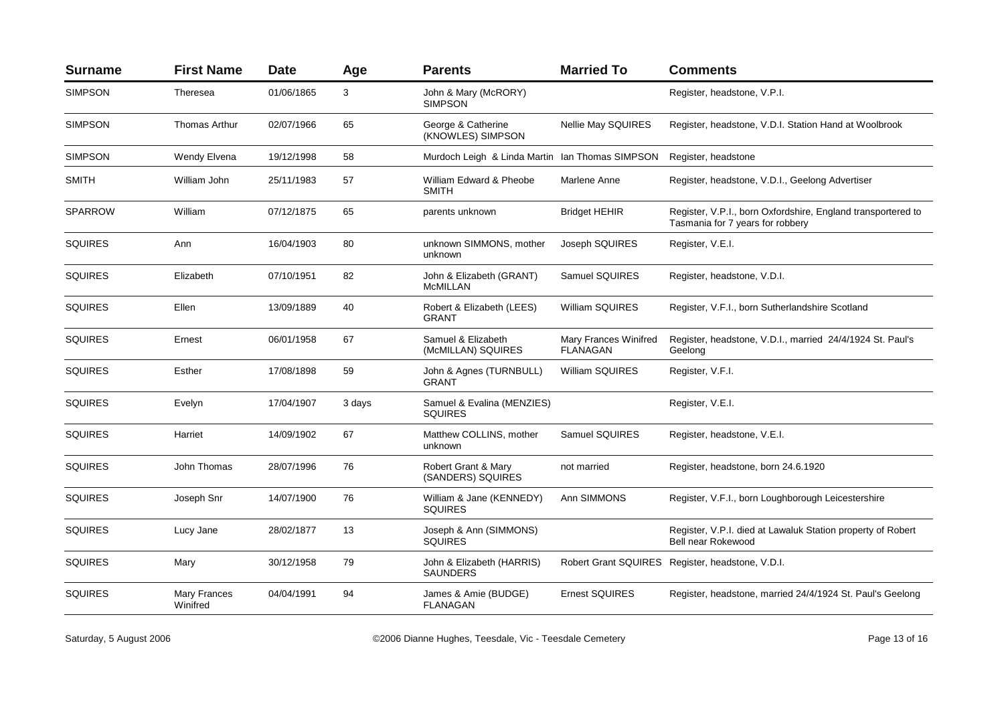| <b>Surname</b> | <b>First Name</b>        | <b>Date</b> | Age    | <b>Parents</b>                                  | <b>Married To</b>                        | <b>Comments</b>                                                                                  |
|----------------|--------------------------|-------------|--------|-------------------------------------------------|------------------------------------------|--------------------------------------------------------------------------------------------------|
| <b>SIMPSON</b> | Theresea                 | 01/06/1865  | 3      | John & Mary (McRORY)<br><b>SIMPSON</b>          |                                          | Register, headstone, V.P.I.                                                                      |
| <b>SIMPSON</b> | <b>Thomas Arthur</b>     | 02/07/1966  | 65     | George & Catherine<br>(KNOWLES) SIMPSON         | <b>Nellie May SQUIRES</b>                | Register, headstone, V.D.I. Station Hand at Woolbrook                                            |
| <b>SIMPSON</b> | Wendy Elvena             | 19/12/1998  | 58     | Murdoch Leigh & Linda Martin Ian Thomas SIMPSON |                                          | Register, headstone                                                                              |
| <b>SMITH</b>   | William John             | 25/11/1983  | 57     | William Edward & Pheobe<br>SMITH                | Marlene Anne                             | Register, headstone, V.D.I., Geelong Advertiser                                                  |
| <b>SPARROW</b> | William                  | 07/12/1875  | 65     | parents unknown                                 | <b>Bridget HEHIR</b>                     | Register, V.P.I., born Oxfordshire, England transportered to<br>Tasmania for 7 years for robbery |
| <b>SQUIRES</b> | Ann                      | 16/04/1903  | 80     | unknown SIMMONS, mother<br>unknown              | Joseph SQUIRES                           | Register, V.E.I.                                                                                 |
| <b>SQUIRES</b> | Elizabeth                | 07/10/1951  | 82     | John & Elizabeth (GRANT)<br><b>McMILLAN</b>     | Samuel SQUIRES                           | Register, headstone, V.D.I.                                                                      |
| <b>SQUIRES</b> | Ellen                    | 13/09/1889  | 40     | Robert & Elizabeth (LEES)<br><b>GRANT</b>       | <b>William SQUIRES</b>                   | Register, V.F.I., born Sutherlandshire Scotland                                                  |
| <b>SQUIRES</b> | Ernest                   | 06/01/1958  | 67     | Samuel & Elizabeth<br>(McMILLAN) SQUIRES        | Mary Frances Winifred<br><b>FLANAGAN</b> | Register, headstone, V.D.I., married 24/4/1924 St. Paul's<br>Geelong                             |
| <b>SQUIRES</b> | Esther                   | 17/08/1898  | 59     | John & Agnes (TURNBULL)<br>GRANT                | <b>William SQUIRES</b>                   | Register, V.F.I.                                                                                 |
| <b>SQUIRES</b> | Evelyn                   | 17/04/1907  | 3 days | Samuel & Evalina (MENZIES)<br><b>SQUIRES</b>    |                                          | Register, V.E.I.                                                                                 |
| <b>SQUIRES</b> | Harriet                  | 14/09/1902  | 67     | Matthew COLLINS, mother<br>unknown              | Samuel SQUIRES                           | Register, headstone, V.E.I.                                                                      |
| <b>SQUIRES</b> | John Thomas              | 28/07/1996  | 76     | Robert Grant & Mary<br>(SANDERS) SQUIRES        | not married                              | Register, headstone, born 24.6.1920                                                              |
| <b>SQUIRES</b> | Joseph Snr               | 14/07/1900  | 76     | William & Jane (KENNEDY)<br><b>SOUIRES</b>      | Ann SIMMONS                              | Register, V.F.I., born Loughborough Leicestershire                                               |
| <b>SQUIRES</b> | Lucy Jane                | 28/02/1877  | 13     | Joseph & Ann (SIMMONS)<br><b>SQUIRES</b>        |                                          | Register, V.P.I. died at Lawaluk Station property of Robert<br>Bell near Rokewood                |
| <b>SQUIRES</b> | Mary                     | 30/12/1958  | 79     | John & Elizabeth (HARRIS)<br><b>SAUNDERS</b>    |                                          | Robert Grant SQUIRES Register, headstone, V.D.I.                                                 |
| <b>SQUIRES</b> | Mary Frances<br>Winifred | 04/04/1991  | 94     | James & Amie (BUDGE)<br>FLANAGAN                | <b>Ernest SQUIRES</b>                    | Register, headstone, married 24/4/1924 St. Paul's Geelong                                        |
|                |                          |             |        |                                                 |                                          |                                                                                                  |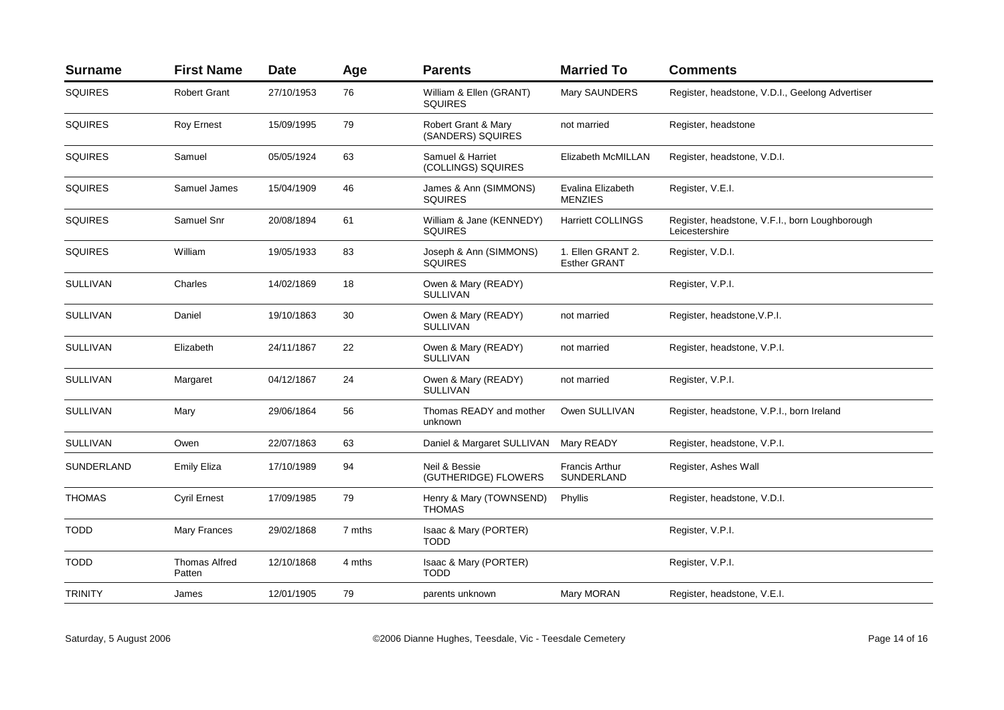| <b>Surname</b>  | <b>First Name</b>              | <b>Date</b> | Age    | <b>Parents</b>                             | <b>Married To</b>                        | <b>Comments</b>                                                  |
|-----------------|--------------------------------|-------------|--------|--------------------------------------------|------------------------------------------|------------------------------------------------------------------|
| <b>SQUIRES</b>  | <b>Robert Grant</b>            | 27/10/1953  | 76     | William & Ellen (GRANT)<br><b>SQUIRES</b>  | Mary SAUNDERS                            | Register, headstone, V.D.I., Geelong Advertiser                  |
| <b>SQUIRES</b>  | <b>Roy Ernest</b>              | 15/09/1995  | 79     | Robert Grant & Mary<br>(SANDERS) SQUIRES   | not married                              | Register, headstone                                              |
| <b>SQUIRES</b>  | Samuel                         | 05/05/1924  | 63     | Samuel & Harriet<br>(COLLINGS) SQUIRES     | Elizabeth McMILLAN                       | Register, headstone, V.D.I.                                      |
| <b>SQUIRES</b>  | Samuel James                   | 15/04/1909  | 46     | James & Ann (SIMMONS)<br><b>SQUIRES</b>    | Evalina Elizabeth<br><b>MENZIES</b>      | Register, V.E.I.                                                 |
| <b>SQUIRES</b>  | Samuel Snr                     | 20/08/1894  | 61     | William & Jane (KENNEDY)<br><b>SQUIRES</b> | <b>Harriett COLLINGS</b>                 | Register, headstone, V.F.I., born Loughborough<br>Leicestershire |
| <b>SQUIRES</b>  | William                        | 19/05/1933  | 83     | Joseph & Ann (SIMMONS)<br><b>SQUIRES</b>   | 1. Ellen GRANT 2.<br><b>Esther GRANT</b> | Register, V.D.I.                                                 |
| <b>SULLIVAN</b> | Charles                        | 14/02/1869  | 18     | Owen & Mary (READY)<br><b>SULLIVAN</b>     |                                          | Register, V.P.I.                                                 |
| <b>SULLIVAN</b> | Daniel                         | 19/10/1863  | 30     | Owen & Mary (READY)<br><b>SULLIVAN</b>     | not married                              | Register, headstone, V.P.I.                                      |
| <b>SULLIVAN</b> | Elizabeth                      | 24/11/1867  | 22     | Owen & Mary (READY)<br><b>SULLIVAN</b>     | not married                              | Register, headstone, V.P.I.                                      |
| <b>SULLIVAN</b> | Margaret                       | 04/12/1867  | 24     | Owen & Mary (READY)<br><b>SULLIVAN</b>     | not married                              | Register, V.P.I.                                                 |
| SULLIVAN        | Mary                           | 29/06/1864  | 56     | Thomas READY and mother<br>unknown         | Owen SULLIVAN                            | Register, headstone, V.P.I., born Ireland                        |
| <b>SULLIVAN</b> | Owen                           | 22/07/1863  | 63     | Daniel & Margaret SULLIVAN                 | Mary READY                               | Register, headstone, V.P.I.                                      |
| SUNDERLAND      | <b>Emily Eliza</b>             | 17/10/1989  | 94     | Neil & Bessie<br>(GUTHERIDGE) FLOWERS      | <b>Francis Arthur</b><br>SUNDERLAND      | Register, Ashes Wall                                             |
| <b>THOMAS</b>   | <b>Cyril Ernest</b>            | 17/09/1985  | 79     | Henry & Mary (TOWNSEND)<br><b>THOMAS</b>   | Phyllis                                  | Register, headstone, V.D.I.                                      |
| <b>TODD</b>     | Mary Frances                   | 29/02/1868  | 7 mths | Isaac & Mary (PORTER)<br><b>TODD</b>       |                                          | Register, V.P.I.                                                 |
| <b>TODD</b>     | <b>Thomas Alfred</b><br>Patten | 12/10/1868  | 4 mths | Isaac & Mary (PORTER)<br><b>TODD</b>       |                                          | Register, V.P.I.                                                 |
| <b>TRINITY</b>  | James                          | 12/01/1905  | 79     | parents unknown                            | Mary MORAN                               | Register, headstone, V.E.I.                                      |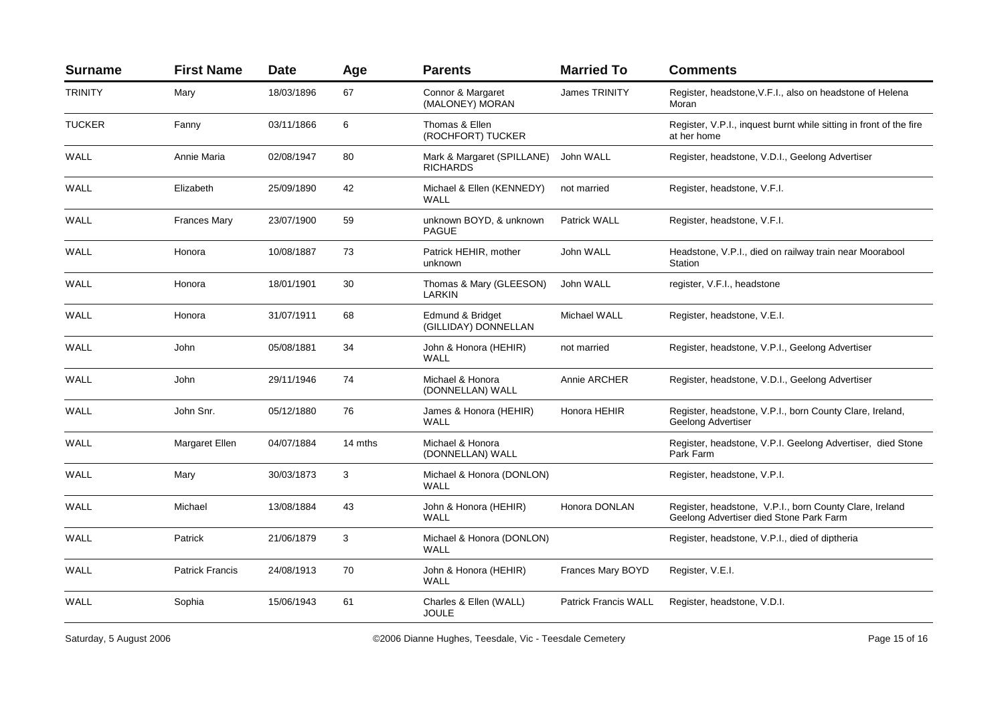| <b>Surname</b> | <b>First Name</b>      | <b>Date</b> | Age     | <b>Parents</b>                                | <b>Married To</b>           | <b>Comments</b>                                                                                    |
|----------------|------------------------|-------------|---------|-----------------------------------------------|-----------------------------|----------------------------------------------------------------------------------------------------|
| <b>TRINITY</b> | Mary                   | 18/03/1896  | 67      | Connor & Margaret<br>(MALONEY) MORAN          | <b>James TRINITY</b>        | Register, headstone, V.F.I., also on headstone of Helena<br>Moran                                  |
| <b>TUCKER</b>  | Fanny                  | 03/11/1866  | 6       | Thomas & Ellen<br>(ROCHFORT) TUCKER           |                             | Register, V.P.I., inquest burnt while sitting in front of the fire<br>at her home                  |
| WALL           | Annie Maria            | 02/08/1947  | 80      | Mark & Margaret (SPILLANE)<br><b>RICHARDS</b> | John WALL                   | Register, headstone, V.D.I., Geelong Advertiser                                                    |
| WALL           | Elizabeth              | 25/09/1890  | 42      | Michael & Ellen (KENNEDY)<br><b>WALL</b>      | not married                 | Register, headstone, V.F.I.                                                                        |
| WALL           | <b>Frances Mary</b>    | 23/07/1900  | 59      | unknown BOYD, & unknown<br><b>PAGUE</b>       | Patrick WALL                | Register, headstone, V.F.I.                                                                        |
| WALL           | Honora                 | 10/08/1887  | 73      | Patrick HEHIR, mother<br>unknown              | John WALL                   | Headstone, V.P.I., died on railway train near Moorabool<br>Station                                 |
| WALL           | Honora                 | 18/01/1901  | 30      | Thomas & Mary (GLEESON)<br>LARKIN             | John WALL                   | register, V.F.I., headstone                                                                        |
| WALL           | Honora                 | 31/07/1911  | 68      | Edmund & Bridget<br>(GILLIDAY) DONNELLAN      | <b>Michael WALL</b>         | Register, headstone, V.E.I.                                                                        |
| WALL           | John                   | 05/08/1881  | 34      | John & Honora (HEHIR)<br><b>WALL</b>          | not married                 | Register, headstone, V.P.I., Geelong Advertiser                                                    |
| WALL           | John                   | 29/11/1946  | 74      | Michael & Honora<br>(DONNELLAN) WALL          | Annie ARCHER                | Register, headstone, V.D.I., Geelong Advertiser                                                    |
| <b>WALL</b>    | John Snr.              | 05/12/1880  | 76      | James & Honora (HEHIR)<br>WALL                | Honora HEHIR                | Register, headstone, V.P.I., born County Clare, Ireland,<br>Geelong Advertiser                     |
| WALL           | Margaret Ellen         | 04/07/1884  | 14 mths | Michael & Honora<br>(DONNELLAN) WALL          |                             | Register, headstone, V.P.I. Geelong Advertiser, died Stone<br>Park Farm                            |
| WALL           | Mary                   | 30/03/1873  | 3       | Michael & Honora (DONLON)<br><b>WALL</b>      |                             | Register, headstone, V.P.I.                                                                        |
| WALL           | Michael                | 13/08/1884  | 43      | John & Honora (HEHIR)<br>WALL                 | Honora DONLAN               | Register, headstone, V.P.I., born County Clare, Ireland<br>Geelong Advertiser died Stone Park Farm |
| <b>WALL</b>    | Patrick                | 21/06/1879  | 3       | Michael & Honora (DONLON)<br><b>WALL</b>      |                             | Register, headstone, V.P.I., died of diptheria                                                     |
| WALL           | <b>Patrick Francis</b> | 24/08/1913  | 70      | John & Honora (HEHIR)<br>WALL                 | <b>Frances Mary BOYD</b>    | Register, V.E.I.                                                                                   |
| <b>WALL</b>    | Sophia                 | 15/06/1943  | 61      | Charles & Ellen (WALL)<br><b>JOULE</b>        | <b>Patrick Francis WALL</b> | Register, headstone, V.D.I.                                                                        |

Saturday, 5 August 2006 **Caucasia Comment Comment Controllery** CO2006 Dianne Hughes, Teesdale, Vic - Teesdale Cemetery **Page 15** of 16 Page 15 of 16